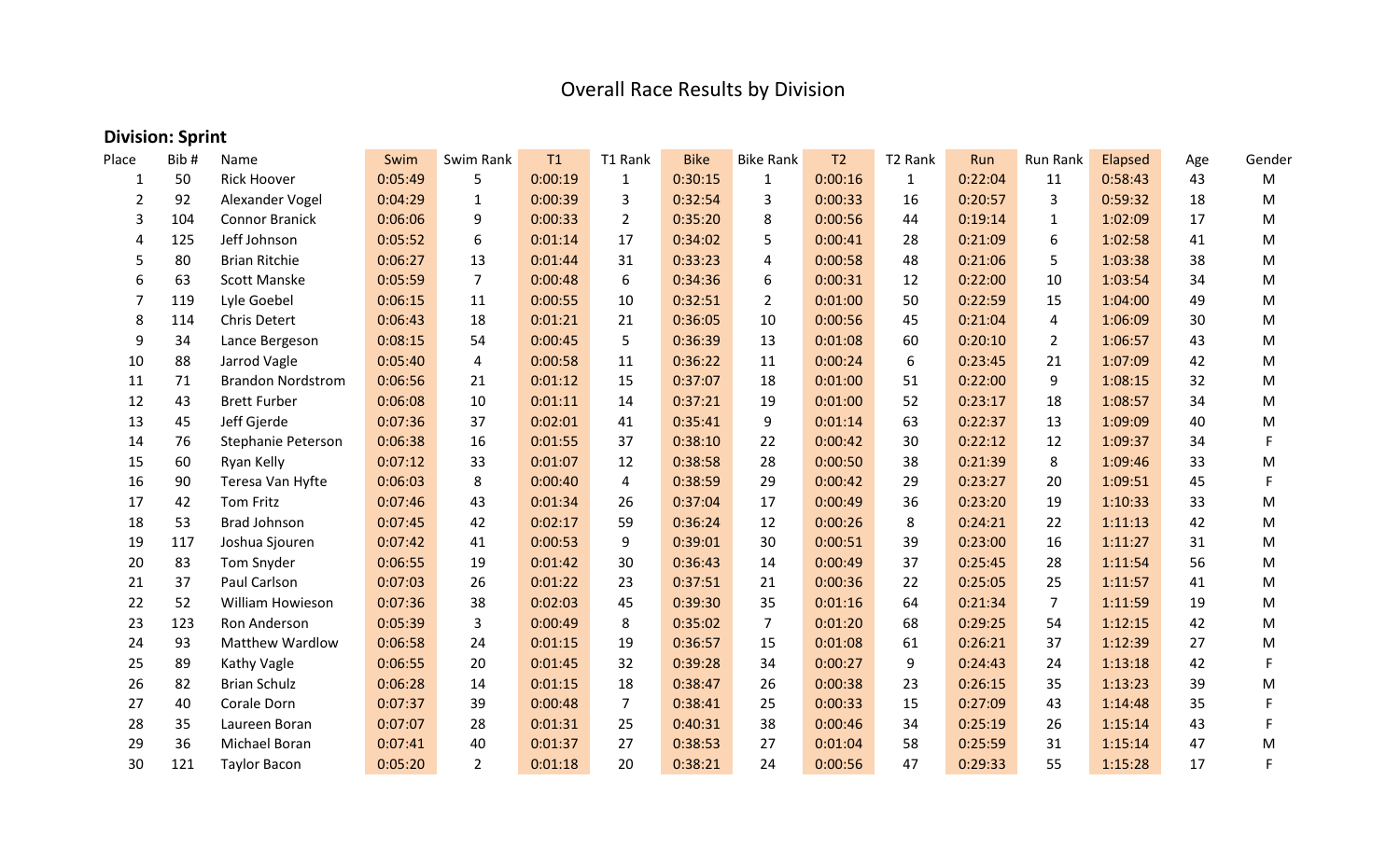## Overall Race Results by Division

## **Division: Sprint**

| Place | Bib# | Name                     | Swim    | Swim Rank      | T1      | T1 Rank        | <b>Bike</b> | <b>Bike Rank</b> | T <sub>2</sub> | T <sub>2</sub> Rank | Run     | Run Rank       | Elapsed | Age | Gender |
|-------|------|--------------------------|---------|----------------|---------|----------------|-------------|------------------|----------------|---------------------|---------|----------------|---------|-----|--------|
| 1     | 50   | <b>Rick Hoover</b>       | 0:05:49 | 5              | 0:00:19 | $\mathbf{1}$   | 0:30:15     | $\mathbf{1}$     | 0:00:16        | $\mathbf{1}$        | 0:22:04 | 11             | 0:58:43 | 43  | M      |
| 2     | 92   | Alexander Vogel          | 0:04:29 | $\mathbf{1}$   | 0:00:39 | 3              | 0:32:54     | 3                | 0:00:33        | 16                  | 0:20:57 | 3              | 0:59:32 | 18  | M      |
| 3     | 104  | <b>Connor Branick</b>    | 0:06:06 | 9              | 0:00:33 | $\overline{2}$ | 0:35:20     | 8                | 0:00:56        | 44                  | 0:19:14 | $\mathbf{1}$   | 1:02:09 | 17  | M      |
| 4     | 125  | Jeff Johnson             | 0:05:52 | 6              | 0:01:14 | 17             | 0:34:02     | 5                | 0:00:41        | 28                  | 0:21:09 | 6              | 1:02:58 | 41  | M      |
| 5     | 80   | <b>Brian Ritchie</b>     | 0:06:27 | 13             | 0:01:44 | 31             | 0:33:23     | 4                | 0:00:58        | 48                  | 0:21:06 | 5              | 1:03:38 | 38  | M      |
| 6     | 63   | <b>Scott Manske</b>      | 0:05:59 | $\overline{7}$ | 0:00:48 | 6              | 0:34:36     | 6                | 0:00:31        | 12                  | 0:22:00 | 10             | 1:03:54 | 34  | M      |
| 7     | 119  | Lyle Goebel              | 0:06:15 | 11             | 0:00:55 | 10             | 0:32:51     | $\overline{2}$   | 0:01:00        | 50                  | 0:22:59 | 15             | 1:04:00 | 49  | M      |
| 8     | 114  | Chris Detert             | 0:06:43 | 18             | 0:01:21 | 21             | 0:36:05     | 10               | 0:00:56        | 45                  | 0:21:04 | 4              | 1:06:09 | 30  | M      |
| 9     | 34   | Lance Bergeson           | 0:08:15 | 54             | 0:00:45 | 5              | 0:36:39     | 13               | 0:01:08        | 60                  | 0:20:10 | $\overline{2}$ | 1:06:57 | 43  | M      |
| 10    | 88   | Jarrod Vagle             | 0:05:40 | 4              | 0:00:58 | 11             | 0:36:22     | 11               | 0:00:24        | 6                   | 0:23:45 | 21             | 1:07:09 | 42  | M      |
| 11    | 71   | <b>Brandon Nordstrom</b> | 0:06:56 | 21             | 0:01:12 | 15             | 0:37:07     | 18               | 0:01:00        | 51                  | 0:22:00 | 9              | 1:08:15 | 32  | M      |
| 12    | 43   | <b>Brett Furber</b>      | 0:06:08 | 10             | 0:01:11 | 14             | 0:37:21     | 19               | 0:01:00        | 52                  | 0:23:17 | 18             | 1:08:57 | 34  | M      |
| 13    | 45   | Jeff Gjerde              | 0:07:36 | 37             | 0:02:01 | 41             | 0:35:41     | 9                | 0:01:14        | 63                  | 0:22:37 | 13             | 1:09:09 | 40  | M      |
| 14    | 76   | Stephanie Peterson       | 0:06:38 | 16             | 0:01:55 | 37             | 0:38:10     | 22               | 0:00:42        | 30                  | 0:22:12 | 12             | 1:09:37 | 34  | F      |
| 15    | 60   | Ryan Kelly               | 0:07:12 | 33             | 0:01:07 | 12             | 0:38:58     | 28               | 0:00:50        | 38                  | 0:21:39 | 8              | 1:09:46 | 33  | M      |
| 16    | 90   | Teresa Van Hyfte         | 0:06:03 | 8              | 0:00:40 | $\overline{4}$ | 0:38:59     | 29               | 0:00:42        | 29                  | 0:23:27 | 20             | 1:09:51 | 45  | F      |
| 17    | 42   | <b>Tom Fritz</b>         | 0:07:46 | 43             | 0:01:34 | 26             | 0:37:04     | 17               | 0:00:49        | 36                  | 0:23:20 | 19             | 1:10:33 | 33  | M      |
| 18    | 53   | <b>Brad Johnson</b>      | 0:07:45 | 42             | 0:02:17 | 59             | 0:36:24     | 12               | 0:00:26        | 8                   | 0:24:21 | 22             | 1:11:13 | 42  | M      |
| 19    | 117  | Joshua Sjouren           | 0:07:42 | 41             | 0:00:53 | 9              | 0:39:01     | 30               | 0:00:51        | 39                  | 0:23:00 | 16             | 1:11:27 | 31  | M      |
| 20    | 83   | Tom Snyder               | 0:06:55 | 19             | 0:01:42 | 30             | 0:36:43     | 14               | 0:00:49        | 37                  | 0:25:45 | 28             | 1:11:54 | 56  | M      |
| 21    | 37   | Paul Carlson             | 0:07:03 | 26             | 0:01:22 | 23             | 0:37:51     | 21               | 0:00:36        | 22                  | 0:25:05 | 25             | 1:11:57 | 41  | M      |
| 22    | 52   | William Howieson         | 0:07:36 | 38             | 0:02:03 | 45             | 0:39:30     | 35               | 0:01:16        | 64                  | 0:21:34 | $\overline{7}$ | 1:11:59 | 19  | M      |
| 23    | 123  | Ron Anderson             | 0:05:39 | 3              | 0:00:49 | 8              | 0:35:02     | $\overline{7}$   | 0:01:20        | 68                  | 0:29:25 | 54             | 1:12:15 | 42  | M      |
| 24    | 93   | <b>Matthew Wardlow</b>   | 0:06:58 | 24             | 0:01:15 | 19             | 0:36:57     | 15               | 0:01:08        | 61                  | 0:26:21 | 37             | 1:12:39 | 27  | M      |
| 25    | 89   | Kathy Vagle              | 0:06:55 | 20             | 0:01:45 | 32             | 0:39:28     | 34               | 0:00:27        | 9                   | 0:24:43 | 24             | 1:13:18 | 42  | F.     |
| 26    | 82   | <b>Brian Schulz</b>      | 0:06:28 | 14             | 0:01:15 | 18             | 0:38:47     | 26               | 0:00:38        | 23                  | 0:26:15 | 35             | 1:13:23 | 39  | M      |
| 27    | 40   | Corale Dorn              | 0:07:37 | 39             | 0:00:48 | $\overline{7}$ | 0:38:41     | 25               | 0:00:33        | 15                  | 0:27:09 | 43             | 1:14:48 | 35  | F.     |
| 28    | 35   | Laureen Boran            | 0:07:07 | 28             | 0:01:31 | 25             | 0:40:31     | 38               | 0:00:46        | 34                  | 0:25:19 | 26             | 1:15:14 | 43  |        |
| 29    | 36   | Michael Boran            | 0:07:41 | 40             | 0:01:37 | 27             | 0:38:53     | 27               | 0:01:04        | 58                  | 0:25:59 | 31             | 1:15:14 | 47  | M      |
| 30    | 121  | <b>Taylor Bacon</b>      | 0:05:20 | $\overline{2}$ | 0:01:18 | 20             | 0:38:21     | 24               | 0:00:56        | 47                  | 0:29:33 | 55             | 1:15:28 | 17  | F      |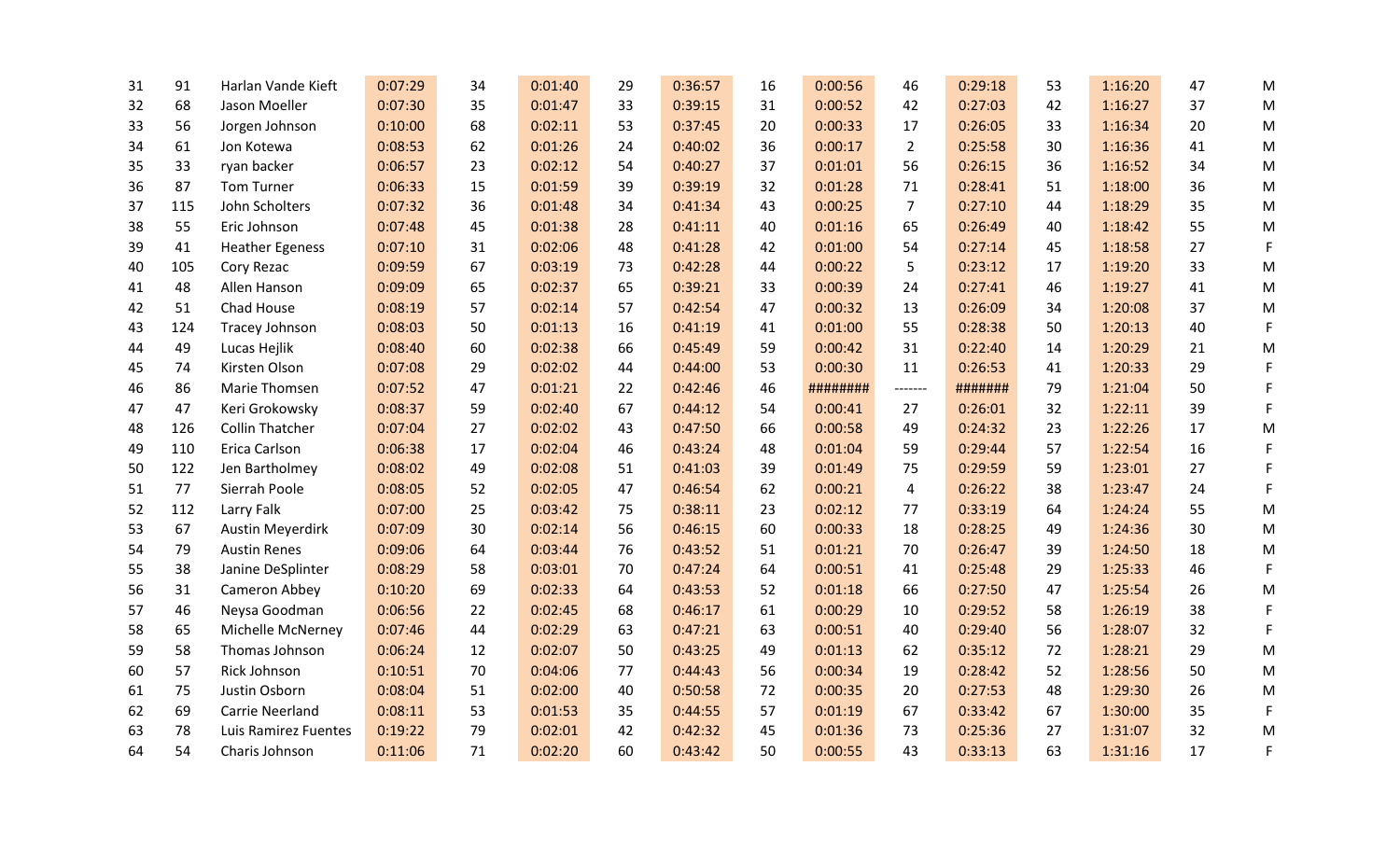| 31 | 91  | Harlan Vande Kieft      | 0:07:29 | 34 | 0:01:40 | 29 | 0:36:57 | 16 | 0:00:56  | 46             | 0:29:18 | 53 | 1:16:20 | 47 | M |
|----|-----|-------------------------|---------|----|---------|----|---------|----|----------|----------------|---------|----|---------|----|---|
| 32 | 68  | Jason Moeller           | 0:07:30 | 35 | 0:01:47 | 33 | 0:39:15 | 31 | 0:00:52  | 42             | 0:27:03 | 42 | 1:16:27 | 37 | M |
| 33 | 56  | Jorgen Johnson          | 0:10:00 | 68 | 0:02:11 | 53 | 0:37:45 | 20 | 0:00:33  | 17             | 0:26:05 | 33 | 1:16:34 | 20 | M |
| 34 | 61  | Jon Kotewa              | 0:08:53 | 62 | 0:01:26 | 24 | 0:40:02 | 36 | 0:00:17  | $\overline{2}$ | 0:25:58 | 30 | 1:16:36 | 41 | M |
| 35 | 33  | ryan backer             | 0:06:57 | 23 | 0:02:12 | 54 | 0:40:27 | 37 | 0:01:01  | 56             | 0:26:15 | 36 | 1:16:52 | 34 | M |
| 36 | 87  | Tom Turner              | 0:06:33 | 15 | 0:01:59 | 39 | 0:39:19 | 32 | 0:01:28  | 71             | 0:28:41 | 51 | 1:18:00 | 36 | M |
| 37 | 115 | John Scholters          | 0:07:32 | 36 | 0:01:48 | 34 | 0:41:34 | 43 | 0:00:25  | $\overline{7}$ | 0:27:10 | 44 | 1:18:29 | 35 | M |
| 38 | 55  | Eric Johnson            | 0:07:48 | 45 | 0:01:38 | 28 | 0:41:11 | 40 | 0:01:16  | 65             | 0:26:49 | 40 | 1:18:42 | 55 | M |
| 39 | 41  | <b>Heather Egeness</b>  | 0:07:10 | 31 | 0:02:06 | 48 | 0:41:28 | 42 | 0:01:00  | 54             | 0:27:14 | 45 | 1:18:58 | 27 | F |
| 40 | 105 | Cory Rezac              | 0:09:59 | 67 | 0:03:19 | 73 | 0:42:28 | 44 | 0:00:22  | 5              | 0:23:12 | 17 | 1:19:20 | 33 | M |
| 41 | 48  | Allen Hanson            | 0:09:09 | 65 | 0:02:37 | 65 | 0:39:21 | 33 | 0:00:39  | 24             | 0:27:41 | 46 | 1:19:27 | 41 | M |
| 42 | 51  | Chad House              | 0:08:19 | 57 | 0:02:14 | 57 | 0:42:54 | 47 | 0:00:32  | 13             | 0:26:09 | 34 | 1:20:08 | 37 | M |
| 43 | 124 | Tracey Johnson          | 0:08:03 | 50 | 0:01:13 | 16 | 0:41:19 | 41 | 0:01:00  | 55             | 0:28:38 | 50 | 1:20:13 | 40 | F |
| 44 | 49  | Lucas Hejlik            | 0:08:40 | 60 | 0:02:38 | 66 | 0:45:49 | 59 | 0:00:42  | 31             | 0:22:40 | 14 | 1:20:29 | 21 | M |
| 45 | 74  | Kirsten Olson           | 0:07:08 | 29 | 0:02:02 | 44 | 0:44:00 | 53 | 0:00:30  | 11             | 0:26:53 | 41 | 1:20:33 | 29 | F |
| 46 | 86  | Marie Thomsen           | 0:07:52 | 47 | 0:01:21 | 22 | 0:42:46 | 46 | ######## | -------        | ####### | 79 | 1:21:04 | 50 | F |
| 47 | 47  | Keri Grokowsky          | 0:08:37 | 59 | 0:02:40 | 67 | 0:44:12 | 54 | 0:00:41  | 27             | 0:26:01 | 32 | 1:22:11 | 39 | F |
| 48 | 126 | <b>Collin Thatcher</b>  | 0:07:04 | 27 | 0:02:02 | 43 | 0:47:50 | 66 | 0:00:58  | 49             | 0:24:32 | 23 | 1:22:26 | 17 | M |
| 49 | 110 | Erica Carlson           | 0:06:38 | 17 | 0:02:04 | 46 | 0:43:24 | 48 | 0:01:04  | 59             | 0:29:44 | 57 | 1:22:54 | 16 | F |
| 50 | 122 | Jen Bartholmey          | 0:08:02 | 49 | 0:02:08 | 51 | 0:41:03 | 39 | 0:01:49  | 75             | 0:29:59 | 59 | 1:23:01 | 27 | F |
| 51 | 77  | Sierrah Poole           | 0:08:05 | 52 | 0:02:05 | 47 | 0:46:54 | 62 | 0:00:21  | $\overline{4}$ | 0:26:22 | 38 | 1:23:47 | 24 | F |
| 52 | 112 | Larry Falk              | 0:07:00 | 25 | 0:03:42 | 75 | 0:38:11 | 23 | 0:02:12  | 77             | 0:33:19 | 64 | 1:24:24 | 55 | M |
| 53 | 67  | <b>Austin Meyerdirk</b> | 0:07:09 | 30 | 0:02:14 | 56 | 0:46:15 | 60 | 0:00:33  | 18             | 0:28:25 | 49 | 1:24:36 | 30 | M |
| 54 | 79  | <b>Austin Renes</b>     | 0:09:06 | 64 | 0:03:44 | 76 | 0:43:52 | 51 | 0:01:21  | 70             | 0:26:47 | 39 | 1:24:50 | 18 | M |
| 55 | 38  | Janine DeSplinter       | 0:08:29 | 58 | 0:03:01 | 70 | 0:47:24 | 64 | 0:00:51  | 41             | 0:25:48 | 29 | 1:25:33 | 46 | F |
| 56 | 31  | Cameron Abbey           | 0:10:20 | 69 | 0:02:33 | 64 | 0:43:53 | 52 | 0:01:18  | 66             | 0:27:50 | 47 | 1:25:54 | 26 | M |
| 57 | 46  | Neysa Goodman           | 0:06:56 | 22 | 0:02:45 | 68 | 0:46:17 | 61 | 0:00:29  | 10             | 0:29:52 | 58 | 1:26:19 | 38 | F |
| 58 | 65  | Michelle McNerney       | 0:07:46 | 44 | 0:02:29 | 63 | 0:47:21 | 63 | 0:00:51  | 40             | 0:29:40 | 56 | 1:28:07 | 32 | F |
| 59 | 58  | Thomas Johnson          | 0:06:24 | 12 | 0:02:07 | 50 | 0:43:25 | 49 | 0:01:13  | 62             | 0:35:12 | 72 | 1:28:21 | 29 | M |
| 60 | 57  | Rick Johnson            | 0:10:51 | 70 | 0:04:06 | 77 | 0:44:43 | 56 | 0:00:34  | 19             | 0:28:42 | 52 | 1:28:56 | 50 | M |
| 61 | 75  | Justin Osborn           | 0:08:04 | 51 | 0:02:00 | 40 | 0:50:58 | 72 | 0:00:35  | 20             | 0:27:53 | 48 | 1:29:30 | 26 | M |
| 62 | 69  | Carrie Neerland         | 0:08:11 | 53 | 0:01:53 | 35 | 0:44:55 | 57 | 0:01:19  | 67             | 0:33:42 | 67 | 1:30:00 | 35 | F |
| 63 | 78  | Luis Ramirez Fuentes    | 0:19:22 | 79 | 0:02:01 | 42 | 0:42:32 | 45 | 0:01:36  | 73             | 0:25:36 | 27 | 1:31:07 | 32 | M |
| 64 | 54  | Charis Johnson          | 0:11:06 | 71 | 0:02:20 | 60 | 0:43:42 | 50 | 0:00:55  | 43             | 0:33:13 | 63 | 1:31:16 | 17 | F |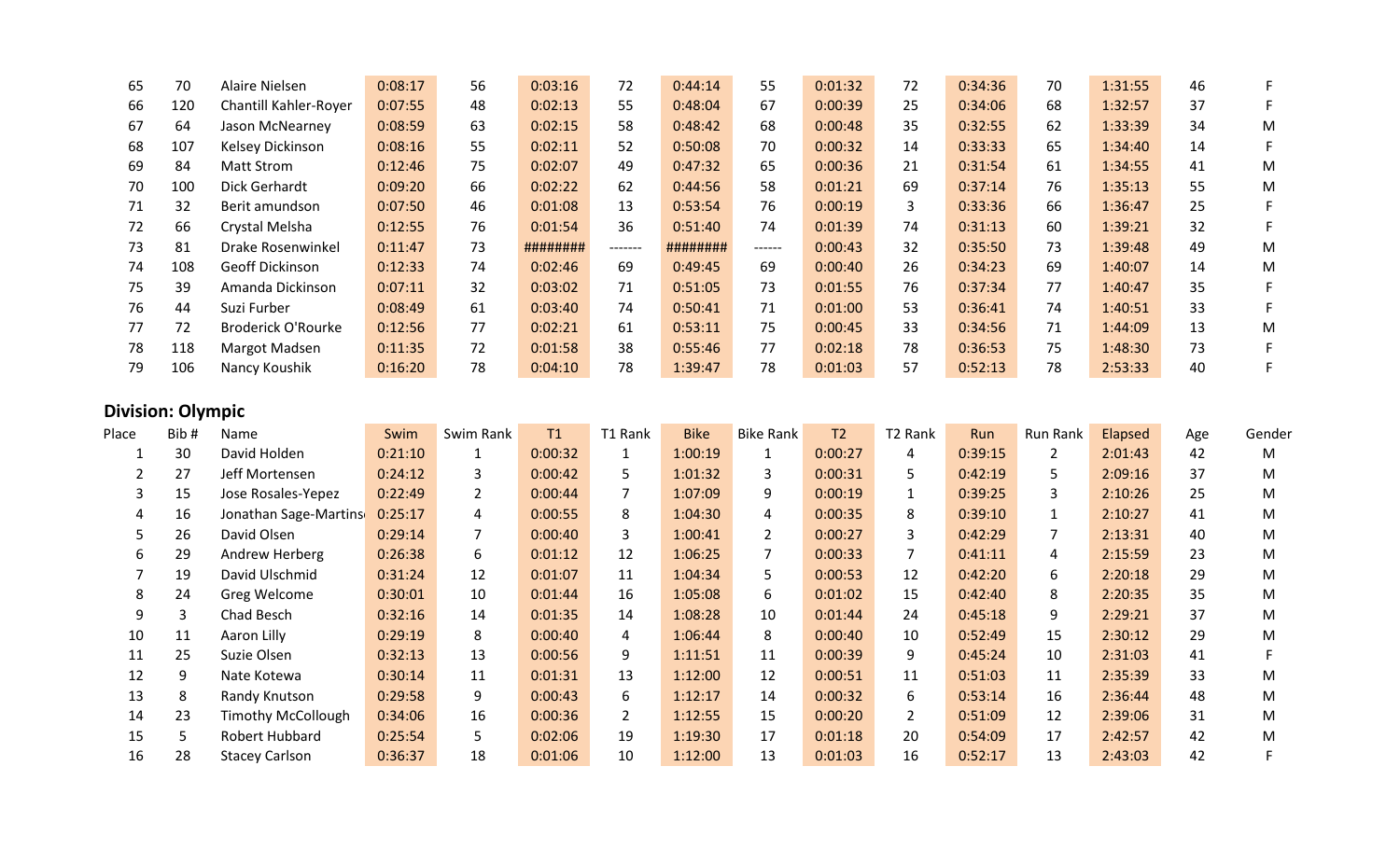| 65 | 70  | Alaire Nielsen               | 0:08:17 | 56 | 0:03:16  | 72      | 0:44:14  | 55      | 0:01:32 | 72 | 0:34:36 | 70 | 1:31:55 | 46 | F |
|----|-----|------------------------------|---------|----|----------|---------|----------|---------|---------|----|---------|----|---------|----|---|
| 66 | 120 | <b>Chantill Kahler-Royer</b> | 0:07:55 | 48 | 0:02:13  | 55      | 0:48:04  | 67      | 0:00:39 | 25 | 0:34:06 | 68 | 1:32:57 | 37 |   |
| 67 | 64  | Jason McNearney              | 0:08:59 | 63 | 0:02:15  | 58      | 0:48:42  | 68      | 0:00:48 | 35 | 0:32:55 | 62 | 1:33:39 | 34 | М |
| 68 | 107 | Kelsey Dickinson             | 0:08:16 | 55 | 0:02:11  | 52      | 0:50:08  | 70      | 0:00:32 | 14 | 0:33:33 | 65 | 1:34:40 | 14 | F |
| 69 | 84  | Matt Strom                   | 0:12:46 | 75 | 0:02:07  | 49      | 0:47:32  | 65      | 0:00:36 | 21 | 0:31:54 | 61 | 1:34:55 | 41 | М |
| 70 | 100 | Dick Gerhardt                | 0:09:20 | 66 | 0:02:22  | 62      | 0:44:56  | 58      | 0:01:21 | 69 | 0:37:14 | 76 | 1:35:13 | 55 | M |
| 71 | 32  | Berit amundson               | 0:07:50 | 46 | 0:01:08  | 13      | 0:53:54  | 76      | 0:00:19 | 3  | 0:33:36 | 66 | 1:36:47 | 25 | F |
| 72 | 66  | Crystal Melsha               | 0:12:55 | 76 | 0:01:54  | 36      | 0:51:40  | 74      | 0:01:39 | 74 | 0:31:13 | 60 | 1:39:21 | 32 | F |
| 73 | 81  | Drake Rosenwinkel            | 0:11:47 | 73 | ######## | ------- | ######## | ------- | 0:00:43 | 32 | 0:35:50 | 73 | 1:39:48 | 49 | М |
| 74 | 108 | Geoff Dickinson              | 0:12:33 | 74 | 0:02:46  | 69      | 0:49:45  | 69      | 0:00:40 | 26 | 0:34:23 | 69 | 1:40:07 | 14 | M |
| 75 | 39  | Amanda Dickinson             | 0:07:11 | 32 | 0:03:02  | 71      | 0:51:05  | 73      | 0:01:55 | 76 | 0:37:34 | 77 | 1:40:47 | 35 | F |
| 76 | 44  | Suzi Furber                  | 0:08:49 | 61 | 0:03:40  | 74      | 0:50:41  | 71      | 0:01:00 | 53 | 0:36:41 | 74 | 1:40:51 | 33 | F |
| 77 | 72  | <b>Broderick O'Rourke</b>    | 0:12:56 | 77 | 0:02:21  | 61      | 0:53:11  | 75      | 0:00:45 | 33 | 0:34:56 | 71 | 1:44:09 | 13 | М |
| 78 | 118 | Margot Madsen                | 0:11:35 | 72 | 0:01:58  | 38      | 0:55:46  | 77      | 0:02:18 | 78 | 0:36:53 | 75 | 1:48:30 | 73 | F |
| 79 | 106 | Nancy Koushik                | 0:16:20 | 78 | 0:04:10  | 78      | 1:39:47  | 78      | 0:01:03 | 57 | 0:52:13 | 78 | 2:53:33 | 40 |   |

## **Division: Olympic**

| Place | Bib# | Name                      | Swim    | Swim Rank      | T1      | T1 Rank        | <b>Bike</b> | <b>Bike Rank</b> | T <sub>2</sub> | T2 Rank      | Run     | Run Rank     | Elapsed | Age | Gender |
|-------|------|---------------------------|---------|----------------|---------|----------------|-------------|------------------|----------------|--------------|---------|--------------|---------|-----|--------|
|       | 30   | David Holden              | 0:21:10 |                | 0:00:32 |                | 1:00:19     | 1                | 0:00:27        | 4            | 0:39:15 | $\mathbf{2}$ | 2:01:43 | 42  | M      |
|       | 27   | Jeff Mortensen            | 0:24:12 | 3              | 0:00:42 | 5.             | 1:01:32     | 3                | 0:00:31        | 5.           | 0:42:19 | 5.           | 2:09:16 | 37  | M      |
| 3     | 15   | Jose Rosales-Yepez        | 0:22:49 | $\overline{2}$ | 0:00:44 |                | 1:07:09     | 9                | 0:00:19        |              | 0:39:25 | $\mathbf{3}$ | 2:10:26 | 25  | M      |
| 4     | 16   | Jonathan Sage-Martins     | 0:25:17 | 4              | 0:00:55 | 8              | 1:04:30     | 4                | 0:00:35        | 8            | 0:39:10 | $\mathbf{1}$ | 2:10:27 | 41  | M      |
| 5.    | 26   | David Olsen               | 0:29:14 |                | 0:00:40 | 3              | 1:00:41     | $\mathbf{2}$     | 0:00:27        | $\mathbf{3}$ | 0:42:29 |              | 2:13:31 | 40  | M      |
| 6     | 29   | Andrew Herberg            | 0:26:38 | 6              | 0:01:12 | 12             | 1:06:25     |                  | 0:00:33        |              | 0:41:11 | 4            | 2:15:59 | 23  | M      |
|       | 19   | David Ulschmid            | 0:31:24 | 12             | 0:01:07 | 11             | 1:04:34     | 5                | 0:00:53        | 12           | 0:42:20 | 6            | 2:20:18 | 29  | M      |
| 8     | 24   | Greg Welcome              | 0:30:01 | 10             | 0:01:44 | 16             | 1:05:08     | 6                | 0:01:02        | 15           | 0:42:40 | 8            | 2:20:35 | 35  | M      |
| 9     | 3    | Chad Besch                | 0:32:16 | 14             | 0:01:35 | 14             | 1:08:28     | 10               | 0:01:44        | 24           | 0:45:18 | 9            | 2:29:21 | 37  | M      |
| 10    | 11   | Aaron Lilly               | 0:29:19 | 8              | 0:00:40 | 4              | 1:06:44     | 8                | 0:00:40        | 10           | 0:52:49 | 15           | 2:30:12 | 29  | M      |
| 11    | 25   | Suzie Olsen               | 0:32:13 | 13             | 0:00:56 | 9              | 1:11:51     | 11               | 0:00:39        | 9            | 0:45:24 | 10           | 2:31:03 | 41  |        |
| 12    | q    | Nate Kotewa               | 0:30:14 | 11             | 0:01:31 | 13             | 1:12:00     | 12               | 0:00:51        | 11           | 0:51:03 | 11           | 2:35:39 | 33  | M      |
| 13    | 8    | Randy Knutson             | 0:29:58 | 9              | 0:00:43 | 6              | 1:12:17     | 14               | 0:00:32        | 6            | 0:53:14 | 16           | 2:36:44 | 48  | M      |
| 14    | 23   | <b>Timothy McCollough</b> | 0:34:06 | 16             | 0:00:36 | $\overline{2}$ | 1:12:55     | 15               | 0:00:20        | $2^{\circ}$  | 0:51:09 | 12           | 2:39:06 | 31  | M      |
| 15    | 5.   | Robert Hubbard            | 0:25:54 | 5              | 0:02:06 | 19             | 1:19:30     | 17               | 0:01:18        | 20           | 0:54:09 | 17           | 2:42:57 | 42  | M      |
| 16    | 28   | <b>Stacey Carlson</b>     | 0:36:37 | 18             | 0:01:06 | 10             | 1:12:00     | 13               | 0:01:03        | 16           | 0:52:17 | 13           | 2:43:03 | 42  | F      |